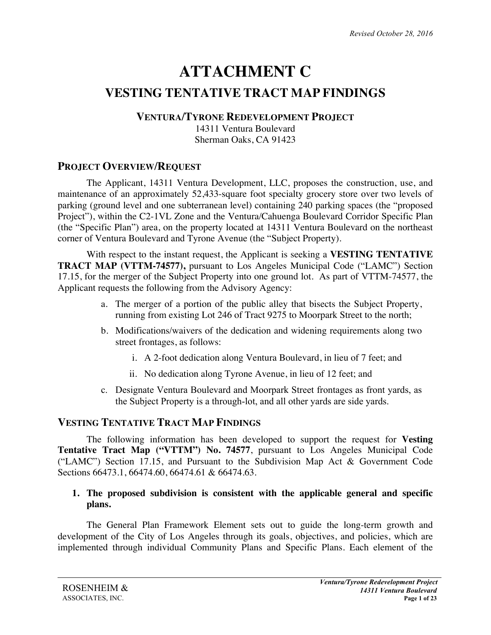# **ATTACHMENT C VESTING TENTATIVE TRACT MAP FINDINGS**

## **VENTURA/TYRONE REDEVELOPMENT PROJECT**

14311 Ventura Boulevard Sherman Oaks, CA 91423

# **PROJECT OVERVIEW/REQUEST**

The Applicant, 14311 Ventura Development, LLC, proposes the construction, use, and maintenance of an approximately 52,433-square foot specialty grocery store over two levels of parking (ground level and one subterranean level) containing 240 parking spaces (the "proposed Project"), within the C2-1VL Zone and the Ventura/Cahuenga Boulevard Corridor Specific Plan (the "Specific Plan") area, on the property located at 14311 Ventura Boulevard on the northeast corner of Ventura Boulevard and Tyrone Avenue (the "Subject Property).

With respect to the instant request, the Applicant is seeking a **VESTING TENTATIVE TRACT MAP (VTTM-74577),** pursuant to Los Angeles Municipal Code ("LAMC") Section 17.15, for the merger of the Subject Property into one ground lot. As part of VTTM-74577, the Applicant requests the following from the Advisory Agency:

- a. The merger of a portion of the public alley that bisects the Subject Property, running from existing Lot 246 of Tract 9275 to Moorpark Street to the north;
- b. Modifications/waivers of the dedication and widening requirements along two street frontages, as follows:
	- i. A 2-foot dedication along Ventura Boulevard, in lieu of 7 feet; and
	- ii. No dedication along Tyrone Avenue, in lieu of 12 feet; and
- c. Designate Ventura Boulevard and Moorpark Street frontages as front yards, as the Subject Property is a through-lot, and all other yards are side yards.

## **VESTING TENTATIVE TRACT MAP FINDINGS**

The following information has been developed to support the request for **Vesting Tentative Tract Map ("VTTM") No. 74577**, pursuant to Los Angeles Municipal Code ("LAMC") Section 17.15, and Pursuant to the Subdivision Map Act & Government Code Sections 66473.1, 66474.60, 66474.61 & 66474.63.

## **1. The proposed subdivision is consistent with the applicable general and specific plans.**

The General Plan Framework Element sets out to guide the long-term growth and development of the City of Los Angeles through its goals, objectives, and policies, which are implemented through individual Community Plans and Specific Plans. Each element of the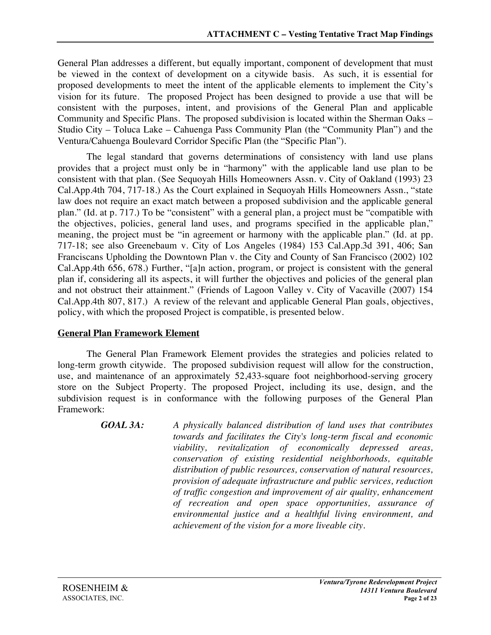General Plan addresses a different, but equally important, component of development that must be viewed in the context of development on a citywide basis. As such, it is essential for proposed developments to meet the intent of the applicable elements to implement the City's vision for its future. The proposed Project has been designed to provide a use that will be consistent with the purposes, intent, and provisions of the General Plan and applicable Community and Specific Plans. The proposed subdivision is located within the Sherman Oaks – Studio City – Toluca Lake – Cahuenga Pass Community Plan (the "Community Plan") and the Ventura/Cahuenga Boulevard Corridor Specific Plan (the "Specific Plan").

The legal standard that governs determinations of consistency with land use plans provides that a project must only be in "harmony" with the applicable land use plan to be consistent with that plan. (See Sequoyah Hills Homeowners Assn. v. City of Oakland (1993) 23 Cal.App.4th 704, 717-18.) As the Court explained in Sequoyah Hills Homeowners Assn., "state law does not require an exact match between a proposed subdivision and the applicable general plan." (Id. at p. 717.) To be "consistent" with a general plan, a project must be "compatible with the objectives, policies, general land uses, and programs specified in the applicable plan," meaning, the project must be "in agreement or harmony with the applicable plan." (Id. at pp. 717-18; see also Greenebaum v. City of Los Angeles (1984) 153 Cal.App.3d 391, 406; San Franciscans Upholding the Downtown Plan v. the City and County of San Francisco (2002) 102 Cal.App.4th 656, 678.) Further, "[a]n action, program, or project is consistent with the general plan if, considering all its aspects, it will further the objectives and policies of the general plan and not obstruct their attainment." (Friends of Lagoon Valley v. City of Vacaville (2007) 154 Cal.App.4th 807, 817.) A review of the relevant and applicable General Plan goals, objectives, policy, with which the proposed Project is compatible, is presented below.

#### **General Plan Framework Element**

The General Plan Framework Element provides the strategies and policies related to long-term growth citywide. The proposed subdivision request will allow for the construction, use, and maintenance of an approximately 52,433-square foot neighborhood-serving grocery store on the Subject Property. The proposed Project, including its use, design, and the subdivision request is in conformance with the following purposes of the General Plan Framework:

> *GOAL 3A: A physically balanced distribution of land uses that contributes towards and facilitates the City's long-term fiscal and economic viability, revitalization of economically depressed areas, conservation of existing residential neighborhoods, equitable distribution of public resources, conservation of natural resources, provision of adequate infrastructure and public services, reduction of traffic congestion and improvement of air quality, enhancement of recreation and open space opportunities, assurance of environmental justice and a healthful living environment, and achievement of the vision for a more liveable city.*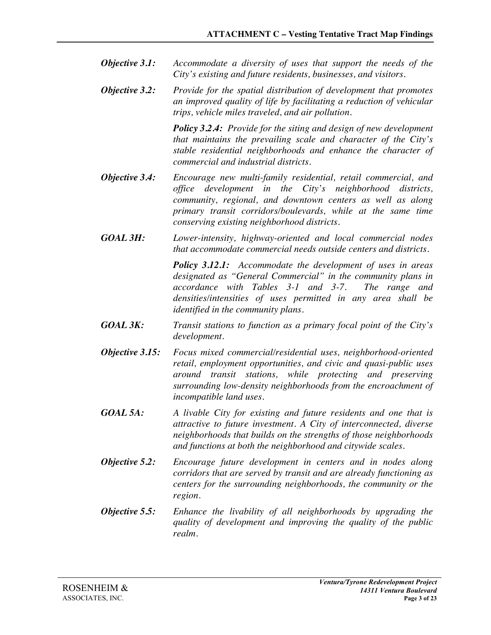- *Objective 3.1: Accommodate a diversity of uses that support the needs of the City's existing and future residents, businesses, and visitors.*
- *Objective 3.2: Provide for the spatial distribution of development that promotes an improved quality of life by facilitating a reduction of vehicular trips, vehicle miles traveled, and air pollution.*

*Policy 3.2.4: Provide for the siting and design of new development that maintains the prevailing scale and character of the City's stable residential neighborhoods and enhance the character of commercial and industrial districts.*

- *Objective 3.4: Encourage new multi-family residential, retail commercial, and office development in the City's neighborhood districts, community, regional, and downtown centers as well as along primary transit corridors/boulevards, while at the same time conserving existing neighborhood districts.*
- *GOAL 3H: Lower-intensity, highway-oriented and local commercial nodes that accommodate commercial needs outside centers and districts.*

*Policy 3.12.1: Accommodate the development of uses in areas designated as "General Commercial" in the community plans in accordance with Tables 3-1 and 3-7. The range and densities/intensities of uses permitted in any area shall be identified in the community plans.*

- *GOAL 3K: Transit stations to function as a primary focal point of the City's development.*
- *Objective 3.15: Focus mixed commercial/residential uses, neighborhood-oriented retail, employment opportunities, and civic and quasi-public uses around transit stations, while protecting and preserving surrounding low-density neighborhoods from the encroachment of incompatible land uses.*
- *GOAL 5A: A livable City for existing and future residents and one that is attractive to future investment. A City of interconnected, diverse neighborhoods that builds on the strengths of those neighborhoods and functions at both the neighborhood and citywide scales.*
- *Objective 5.2: Encourage future development in centers and in nodes along corridors that are served by transit and are already functioning as centers for the surrounding neighborhoods, the community or the region.*
- *Objective 5.5: Enhance the livability of all neighborhoods by upgrading the quality of development and improving the quality of the public realm.*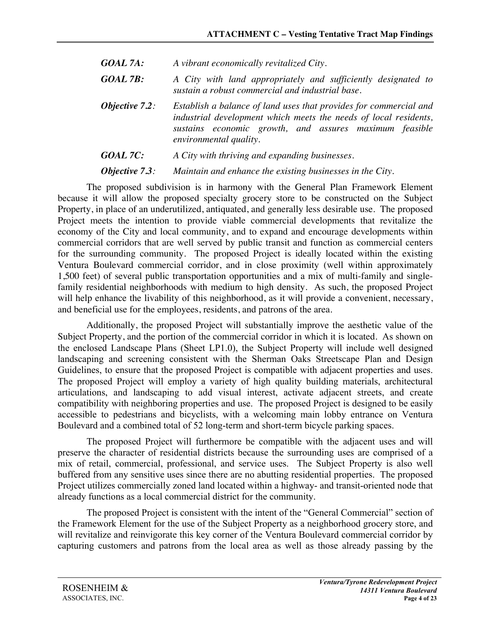- *GOAL 7A: A vibrant economically revitalized City.*
- *GOAL 7B: A City with land appropriately and sufficiently designated to sustain a robust commercial and industrial base.*
- *Objective 7.2: Establish a balance of land uses that provides for commercial and industrial development which meets the needs of local residents, sustains economic growth, and assures maximum feasible environmental quality.*
- *GOAL 7C: A City with thriving and expanding businesses.*

*Objective 7.3: Maintain and enhance the existing businesses in the City.*

The proposed subdivision is in harmony with the General Plan Framework Element because it will allow the proposed specialty grocery store to be constructed on the Subject Property, in place of an underutilized, antiquated, and generally less desirable use. The proposed Project meets the intention to provide viable commercial developments that revitalize the economy of the City and local community, and to expand and encourage developments within commercial corridors that are well served by public transit and function as commercial centers for the surrounding community. The proposed Project is ideally located within the existing Ventura Boulevard commercial corridor, and in close proximity (well within approximately 1,500 feet) of several public transportation opportunities and a mix of multi-family and singlefamily residential neighborhoods with medium to high density. As such, the proposed Project will help enhance the livability of this neighborhood, as it will provide a convenient, necessary, and beneficial use for the employees, residents, and patrons of the area.

Additionally, the proposed Project will substantially improve the aesthetic value of the Subject Property, and the portion of the commercial corridor in which it is located. As shown on the enclosed Landscape Plans (Sheet LP1.0), the Subject Property will include well designed landscaping and screening consistent with the Sherman Oaks Streetscape Plan and Design Guidelines, to ensure that the proposed Project is compatible with adjacent properties and uses. The proposed Project will employ a variety of high quality building materials, architectural articulations, and landscaping to add visual interest, activate adjacent streets, and create compatibility with neighboring properties and use. The proposed Project is designed to be easily accessible to pedestrians and bicyclists, with a welcoming main lobby entrance on Ventura Boulevard and a combined total of 52 long-term and short-term bicycle parking spaces.

The proposed Project will furthermore be compatible with the adjacent uses and will preserve the character of residential districts because the surrounding uses are comprised of a mix of retail, commercial, professional, and service uses. The Subject Property is also well buffered from any sensitive uses since there are no abutting residential properties. The proposed Project utilizes commercially zoned land located within a highway- and transit-oriented node that already functions as a local commercial district for the community.

The proposed Project is consistent with the intent of the "General Commercial" section of the Framework Element for the use of the Subject Property as a neighborhood grocery store, and will revitalize and reinvigorate this key corner of the Ventura Boulevard commercial corridor by capturing customers and patrons from the local area as well as those already passing by the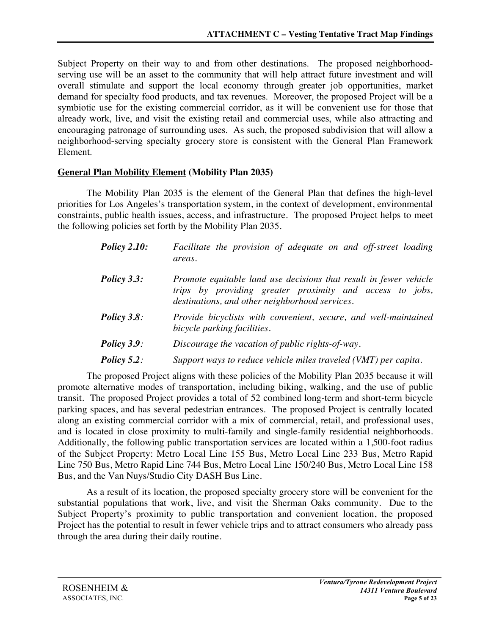Subject Property on their way to and from other destinations. The proposed neighborhoodserving use will be an asset to the community that will help attract future investment and will overall stimulate and support the local economy through greater job opportunities, market demand for specialty food products, and tax revenues. Moreover, the proposed Project will be a symbiotic use for the existing commercial corridor, as it will be convenient use for those that already work, live, and visit the existing retail and commercial uses, while also attracting and encouraging patronage of surrounding uses. As such, the proposed subdivision that will allow a neighborhood-serving specialty grocery store is consistent with the General Plan Framework Element.

## **General Plan Mobility Element (Mobility Plan 2035)**

The Mobility Plan 2035 is the element of the General Plan that defines the high-level priorities for Los Angeles's transportation system, in the context of development, environmental constraints, public health issues, access, and infrastructure. The proposed Project helps to meet the following policies set forth by the Mobility Plan 2035.

| <b>Policy 2.10:</b> | Facilitate the provision of adequate on and off-street loading<br>areas.                                                                                                        |
|---------------------|---------------------------------------------------------------------------------------------------------------------------------------------------------------------------------|
| Policy 3.3:         | Promote equitable land use decisions that result in fewer vehicle<br>trips by providing greater proximity and access to jobs,<br>destinations, and other neighborhood services. |
| <b>Policy 3.8:</b>  | Provide bicyclists with convenient, secure, and well-maintained<br>bicycle parking facilities.                                                                                  |
| Policy $3.9$ :      | Discourage the vacation of public rights-of-way.                                                                                                                                |
| Policy $5.2$ :      | Support ways to reduce vehicle miles traveled (VMT) per capita.                                                                                                                 |

The proposed Project aligns with these policies of the Mobility Plan 2035 because it will promote alternative modes of transportation, including biking, walking, and the use of public transit. The proposed Project provides a total of 52 combined long-term and short-term bicycle parking spaces, and has several pedestrian entrances. The proposed Project is centrally located along an existing commercial corridor with a mix of commercial, retail, and professional uses, and is located in close proximity to multi-family and single-family residential neighborhoods. Additionally, the following public transportation services are located within a 1,500-foot radius of the Subject Property: Metro Local Line 155 Bus, Metro Local Line 233 Bus, Metro Rapid Line 750 Bus, Metro Rapid Line 744 Bus, Metro Local Line 150/240 Bus, Metro Local Line 158 Bus, and the Van Nuys/Studio City DASH Bus Line.

As a result of its location, the proposed specialty grocery store will be convenient for the substantial populations that work, live, and visit the Sherman Oaks community. Due to the Subject Property's proximity to public transportation and convenient location, the proposed Project has the potential to result in fewer vehicle trips and to attract consumers who already pass through the area during their daily routine.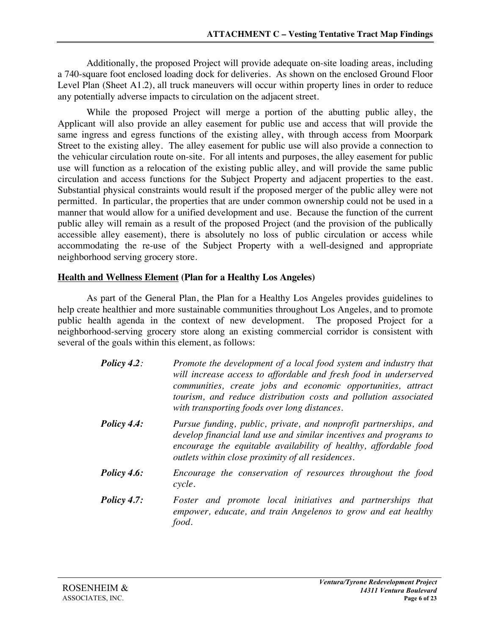Additionally, the proposed Project will provide adequate on-site loading areas, including a 740-square foot enclosed loading dock for deliveries. As shown on the enclosed Ground Floor Level Plan (Sheet A1.2), all truck maneuvers will occur within property lines in order to reduce any potentially adverse impacts to circulation on the adjacent street.

While the proposed Project will merge a portion of the abutting public alley, the Applicant will also provide an alley easement for public use and access that will provide the same ingress and egress functions of the existing alley, with through access from Moorpark Street to the existing alley. The alley easement for public use will also provide a connection to the vehicular circulation route on-site. For all intents and purposes, the alley easement for public use will function as a relocation of the existing public alley, and will provide the same public circulation and access functions for the Subject Property and adjacent properties to the east. Substantial physical constraints would result if the proposed merger of the public alley were not permitted. In particular, the properties that are under common ownership could not be used in a manner that would allow for a unified development and use. Because the function of the current public alley will remain as a result of the proposed Project (and the provision of the publically accessible alley easement), there is absolutely no loss of public circulation or access while accommodating the re-use of the Subject Property with a well-designed and appropriate neighborhood serving grocery store.

## **Health and Wellness Element (Plan for a Healthy Los Angeles)**

As part of the General Plan, the Plan for a Healthy Los Angeles provides guidelines to help create healthier and more sustainable communities throughout Los Angeles, and to promote public health agenda in the context of new development. The proposed Project for a neighborhood-serving grocery store along an existing commercial corridor is consistent with several of the goals within this element, as follows:

| Policy $4.2$ : | Promote the development of a local food system and industry that<br>will increase access to affordable and fresh food in underserved<br>communities, create jobs and economic opportunities, attract<br>tourism, and reduce distribution costs and pollution associated<br>with transporting foods over long distances. |
|----------------|-------------------------------------------------------------------------------------------------------------------------------------------------------------------------------------------------------------------------------------------------------------------------------------------------------------------------|
| Policy 4.4:    | Pursue funding, public, private, and nonprofit partnerships, and<br>develop financial land use and similar incentives and programs to<br>encourage the equitable availability of healthy, affordable food<br>outlets within close proximity of all residences.                                                          |
| Policy $4.6$ : | Encourage the conservation of resources throughout the food<br>cycle.                                                                                                                                                                                                                                                   |
| Policy $47:$   | Foster and promote local initiatives and partnerships that                                                                                                                                                                                                                                                              |

*Policy 4.7: Foster and promote local initiatives and partnerships that empower, educate, and train Angelenos to grow and eat healthy food.*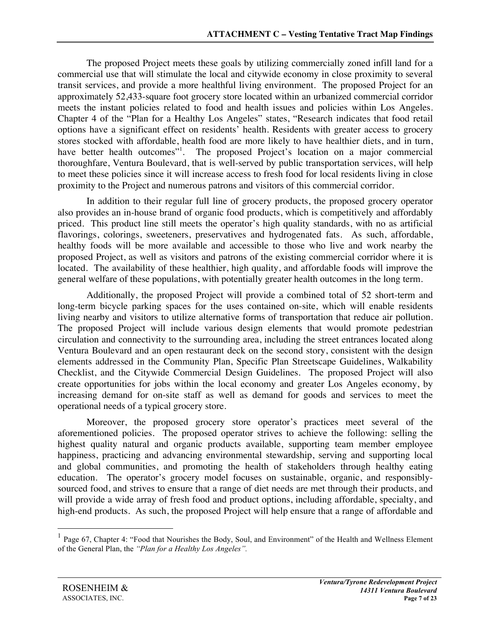The proposed Project meets these goals by utilizing commercially zoned infill land for a commercial use that will stimulate the local and citywide economy in close proximity to several transit services, and provide a more healthful living environment. The proposed Project for an approximately 52,433-square foot grocery store located within an urbanized commercial corridor meets the instant policies related to food and health issues and policies within Los Angeles. Chapter 4 of the "Plan for a Healthy Los Angeles" states, "Research indicates that food retail options have a significant effect on residents' health. Residents with greater access to grocery stores stocked with affordable, health food are more likely to have healthier diets, and in turn, have better health outcomes"<sup>1</sup>. The proposed Project's location on a major commercial thoroughfare, Ventura Boulevard, that is well-served by public transportation services, will help to meet these policies since it will increase access to fresh food for local residents living in close proximity to the Project and numerous patrons and visitors of this commercial corridor.

In addition to their regular full line of grocery products, the proposed grocery operator also provides an in-house brand of organic food products, which is competitively and affordably priced. This product line still meets the operator's high quality standards, with no as artificial flavorings, colorings, sweeteners, preservatives and hydrogenated fats. As such, affordable, healthy foods will be more available and accessible to those who live and work nearby the proposed Project, as well as visitors and patrons of the existing commercial corridor where it is located. The availability of these healthier, high quality, and affordable foods will improve the general welfare of these populations, with potentially greater health outcomes in the long term.

Additionally, the proposed Project will provide a combined total of 52 short-term and long-term bicycle parking spaces for the uses contained on-site, which will enable residents living nearby and visitors to utilize alternative forms of transportation that reduce air pollution. The proposed Project will include various design elements that would promote pedestrian circulation and connectivity to the surrounding area, including the street entrances located along Ventura Boulevard and an open restaurant deck on the second story, consistent with the design elements addressed in the Community Plan, Specific Plan Streetscape Guidelines, Walkability Checklist, and the Citywide Commercial Design Guidelines. The proposed Project will also create opportunities for jobs within the local economy and greater Los Angeles economy, by increasing demand for on-site staff as well as demand for goods and services to meet the operational needs of a typical grocery store.

Moreover, the proposed grocery store operator's practices meet several of the aforementioned policies. The proposed operator strives to achieve the following: selling the highest quality natural and organic products available, supporting team member employee happiness, practicing and advancing environmental stewardship, serving and supporting local and global communities, and promoting the health of stakeholders through healthy eating education. The operator's grocery model focuses on sustainable, organic, and responsiblysourced food, and strives to ensure that a range of diet needs are met through their products, and will provide a wide array of fresh food and product options, including affordable, specialty, and high-end products. As such, the proposed Project will help ensure that a range of affordable and

<sup>&</sup>lt;sup>1</sup> Page 67, Chapter 4: "Food that Nourishes the Body, Soul, and Environment" of the Health and Wellness Element of the General Plan, the *"Plan for a Healthy Los Angeles".*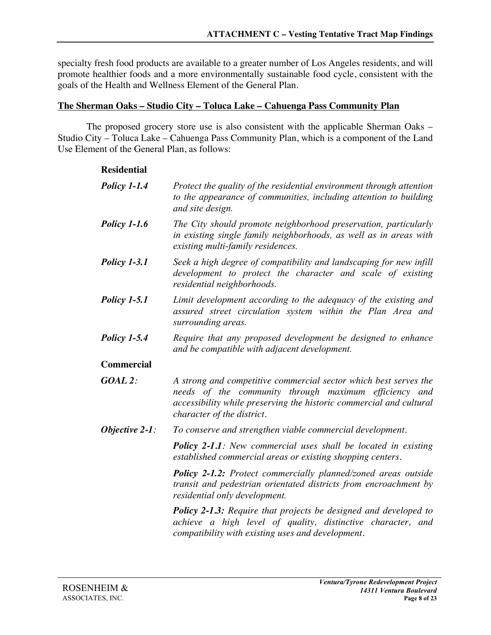specialty fresh food products are available to a greater number of Los Angeles residents, and will promote healthier foods and a more environmentally sustainable food cycle, consistent with the goals of the Health and Wellness Element of the General Plan.

#### **The Sherman Oaks – Studio City – Toluca Lake – Cahuenga Pass Community Plan**

The proposed grocery store use is also consistent with the applicable Sherman Oaks – Studio City – Toluca Lake – Cahuenga Pass Community Plan, which is a component of the Land Use Element of the General Plan, as follows:

| Residential         |                                                                                                                                                                                                                                |
|---------------------|--------------------------------------------------------------------------------------------------------------------------------------------------------------------------------------------------------------------------------|
| <b>Policy 1-1.4</b> | Protect the quality of the residential environment through attention<br>to the appearance of communities, including attention to building<br>and site design.                                                                  |
| <b>Policy 1-1.6</b> | The City should promote neighborhood preservation, particularly<br>in existing single family neighborhoods, as well as in areas with<br>existing multi-family residences.                                                      |
| <b>Policy 1-3.1</b> | Seek a high degree of compatibility and landscaping for new infill<br>development to protect the character and scale of existing<br>residential neighborhoods.                                                                 |
| <i>Policy 1-5.1</i> | Limit development according to the adequacy of the existing and<br>assured street circulation system within the Plan Area and<br>surrounding areas.                                                                            |
| <b>Policy 1-5.4</b> | Require that any proposed development be designed to enhance<br>and be compatible with adjacent development.                                                                                                                   |
| Commercial          |                                                                                                                                                                                                                                |
| $GOAL$ 2:           | A strong and competitive commercial sector which best serves the<br>needs of the community through maximum efficiency and<br>accessibility while preserving the historic commercial and cultural<br>character of the district. |
| Objective $2-1$ :   | To conserve and strengthen viable commercial development.                                                                                                                                                                      |
|                     | <b>Policy 2-1.1:</b> New commercial uses shall be located in existing<br>established commercial areas or existing shopping centers.                                                                                            |
|                     | Policy 2-1.2: Protect commercially planned/zoned areas outside<br>transit and pedestrian orientated districts from encroachment by<br>residential only development.                                                            |
|                     | <b>Policy 2-1.3:</b> Require that projects be designed and developed to<br>achieve a high level of quality, distinctive character, and                                                                                         |

*compatibility with existing uses and development.*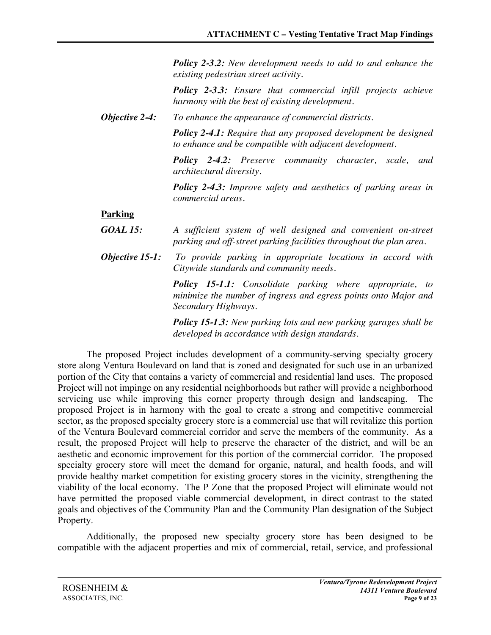*Policy 2-3.2: New development needs to add to and enhance the existing pedestrian street activity.*

*Policy 2-3.3: Ensure that commercial infill projects achieve harmony with the best of existing development.*

*Objective 2-4: To enhance the appearance of commercial districts.*

*Policy 2-4.1: Require that any proposed development be designed to enhance and be compatible with adjacent development.*

*Policy 2-4.2: Preserve community character, scale, and architectural diversity.*

*Policy 2-4.3: Improve safety and aesthetics of parking areas in commercial areas.*

## **Parking**

- *GOAL 15: A sufficient system of well designed and convenient on-street parking and off-street parking facilities throughout the plan area.*
- *Objective 15-1: To provide parking in appropriate locations in accord with Citywide standards and community needs.*

*Policy 15-1.1: Consolidate parking where appropriate, to minimize the number of ingress and egress points onto Major and Secondary Highways.*

*Policy 15-1.3: New parking lots and new parking garages shall be developed in accordance with design standards.*

The proposed Project includes development of a community-serving specialty grocery store along Ventura Boulevard on land that is zoned and designated for such use in an urbanized portion of the City that contains a variety of commercial and residential land uses. The proposed Project will not impinge on any residential neighborhoods but rather will provide a neighborhood servicing use while improving this corner property through design and landscaping. The proposed Project is in harmony with the goal to create a strong and competitive commercial sector, as the proposed specialty grocery store is a commercial use that will revitalize this portion of the Ventura Boulevard commercial corridor and serve the members of the community. As a result, the proposed Project will help to preserve the character of the district, and will be an aesthetic and economic improvement for this portion of the commercial corridor. The proposed specialty grocery store will meet the demand for organic, natural, and health foods, and will provide healthy market competition for existing grocery stores in the vicinity, strengthening the viability of the local economy. The P Zone that the proposed Project will eliminate would not have permitted the proposed viable commercial development, in direct contrast to the stated goals and objectives of the Community Plan and the Community Plan designation of the Subject Property.

Additionally, the proposed new specialty grocery store has been designed to be compatible with the adjacent properties and mix of commercial, retail, service, and professional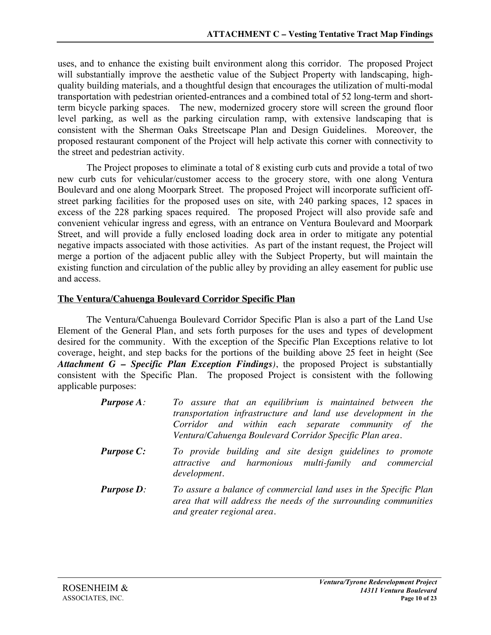uses, and to enhance the existing built environment along this corridor. The proposed Project will substantially improve the aesthetic value of the Subject Property with landscaping, highquality building materials, and a thoughtful design that encourages the utilization of multi-modal transportation with pedestrian oriented-entrances and a combined total of 52 long-term and shortterm bicycle parking spaces. The new, modernized grocery store will screen the ground floor level parking, as well as the parking circulation ramp, with extensive landscaping that is consistent with the Sherman Oaks Streetscape Plan and Design Guidelines. Moreover, the proposed restaurant component of the Project will help activate this corner with connectivity to the street and pedestrian activity.

The Project proposes to eliminate a total of 8 existing curb cuts and provide a total of two new curb cuts for vehicular/customer access to the grocery store, with one along Ventura Boulevard and one along Moorpark Street. The proposed Project will incorporate sufficient offstreet parking facilities for the proposed uses on site, with 240 parking spaces, 12 spaces in excess of the 228 parking spaces required. The proposed Project will also provide safe and convenient vehicular ingress and egress, with an entrance on Ventura Boulevard and Moorpark Street, and will provide a fully enclosed loading dock area in order to mitigate any potential negative impacts associated with those activities. As part of the instant request, the Project will merge a portion of the adjacent public alley with the Subject Property, but will maintain the existing function and circulation of the public alley by providing an alley easement for public use and access.

## **The Ventura/Cahuenga Boulevard Corridor Specific Plan**

The Ventura/Cahuenga Boulevard Corridor Specific Plan is also a part of the Land Use Element of the General Plan, and sets forth purposes for the uses and types of development desired for the community. With the exception of the Specific Plan Exceptions relative to lot coverage, height, and step backs for the portions of the building above 25 feet in height (See *Attachment G – Specific Plan Exception Findings)*, the proposed Project is substantially consistent with the Specific Plan. The proposed Project is consistent with the following applicable purposes:

| <b>Purpose A:</b> | To assure that an equilibrium is maintained between the<br>transportation infrastructure and land use development in the<br>Corridor and within each separate community of the<br>Ventura/Cahuenga Boulevard Corridor Specific Plan area. |
|-------------------|-------------------------------------------------------------------------------------------------------------------------------------------------------------------------------------------------------------------------------------------|
| <b>Purpose C:</b> | To provide building and site design guidelines to promote<br>attractive and harmonious multi-family and commercial<br>development.                                                                                                        |
| <b>Purpose D:</b> | To assure a balance of commercial land uses in the Specific Plan<br>area that will address the needs of the surrounding communities<br>and greater regional area.                                                                         |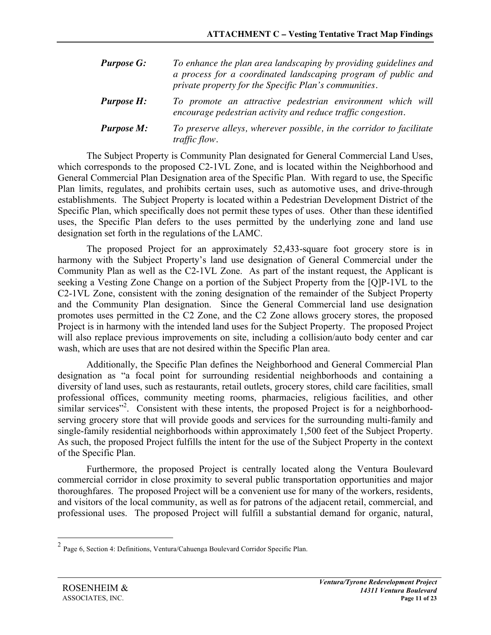| <b>Purpose G:</b> | To enhance the plan area landscaping by providing guidelines and<br>a process for a coordinated landscaping program of public and<br>private property for the Specific Plan's communities. |
|-------------------|--------------------------------------------------------------------------------------------------------------------------------------------------------------------------------------------|
| <b>Purpose H:</b> | To promote an attractive pedestrian environment which will<br>encourage pedestrian activity and reduce traffic congestion.                                                                 |
| <b>Purpose M:</b> | To preserve alleys, wherever possible, in the corridor to facilitate<br><i>traffic flow.</i>                                                                                               |

The Subject Property is Community Plan designated for General Commercial Land Uses, which corresponds to the proposed C2-1VL Zone, and is located within the Neighborhood and General Commercial Plan Designation area of the Specific Plan. With regard to use, the Specific Plan limits, regulates, and prohibits certain uses, such as automotive uses, and drive-through establishments. The Subject Property is located within a Pedestrian Development District of the Specific Plan, which specifically does not permit these types of uses. Other than these identified uses, the Specific Plan defers to the uses permitted by the underlying zone and land use designation set forth in the regulations of the LAMC.

The proposed Project for an approximately 52,433-square foot grocery store is in harmony with the Subject Property's land use designation of General Commercial under the Community Plan as well as the C2-1VL Zone. As part of the instant request, the Applicant is seeking a Vesting Zone Change on a portion of the Subject Property from the [Q]P-1VL to the C2-1VL Zone, consistent with the zoning designation of the remainder of the Subject Property and the Community Plan designation. Since the General Commercial land use designation promotes uses permitted in the C2 Zone, and the C2 Zone allows grocery stores, the proposed Project is in harmony with the intended land uses for the Subject Property. The proposed Project will also replace previous improvements on site, including a collision/auto body center and car wash, which are uses that are not desired within the Specific Plan area.

Additionally, the Specific Plan defines the Neighborhood and General Commercial Plan designation as "a focal point for surrounding residential neighborhoods and containing a diversity of land uses, such as restaurants, retail outlets, grocery stores, child care facilities, small professional offices, community meeting rooms, pharmacies, religious facilities, and other similar services"<sup>2</sup>. Consistent with these intents, the proposed Project is for a neighborhoodserving grocery store that will provide goods and services for the surrounding multi-family and single-family residential neighborhoods within approximately 1,500 feet of the Subject Property. As such, the proposed Project fulfills the intent for the use of the Subject Property in the context of the Specific Plan.

Furthermore, the proposed Project is centrally located along the Ventura Boulevard commercial corridor in close proximity to several public transportation opportunities and major thoroughfares. The proposed Project will be a convenient use for many of the workers, residents, and visitors of the local community, as well as for patrons of the adjacent retail, commercial, and professional uses. The proposed Project will fulfill a substantial demand for organic, natural,

 <sup>2</sup> Page 6, Section 4: Definitions, Ventura/Cahuenga Boulevard Corridor Specific Plan.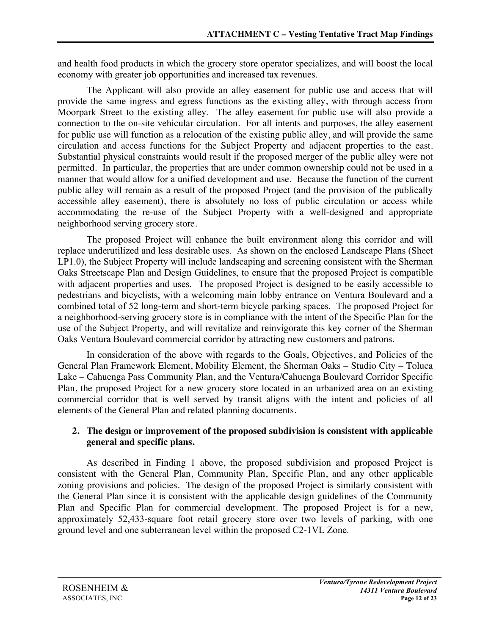and health food products in which the grocery store operator specializes, and will boost the local economy with greater job opportunities and increased tax revenues.

The Applicant will also provide an alley easement for public use and access that will provide the same ingress and egress functions as the existing alley, with through access from Moorpark Street to the existing alley. The alley easement for public use will also provide a connection to the on-site vehicular circulation. For all intents and purposes, the alley easement for public use will function as a relocation of the existing public alley, and will provide the same circulation and access functions for the Subject Property and adjacent properties to the east. Substantial physical constraints would result if the proposed merger of the public alley were not permitted. In particular, the properties that are under common ownership could not be used in a manner that would allow for a unified development and use. Because the function of the current public alley will remain as a result of the proposed Project (and the provision of the publically accessible alley easement), there is absolutely no loss of public circulation or access while accommodating the re-use of the Subject Property with a well-designed and appropriate neighborhood serving grocery store.

The proposed Project will enhance the built environment along this corridor and will replace underutilized and less desirable uses. As shown on the enclosed Landscape Plans (Sheet LP1.0), the Subject Property will include landscaping and screening consistent with the Sherman Oaks Streetscape Plan and Design Guidelines, to ensure that the proposed Project is compatible with adjacent properties and uses. The proposed Project is designed to be easily accessible to pedestrians and bicyclists, with a welcoming main lobby entrance on Ventura Boulevard and a combined total of 52 long-term and short-term bicycle parking spaces. The proposed Project for a neighborhood-serving grocery store is in compliance with the intent of the Specific Plan for the use of the Subject Property, and will revitalize and reinvigorate this key corner of the Sherman Oaks Ventura Boulevard commercial corridor by attracting new customers and patrons.

In consideration of the above with regards to the Goals, Objectives, and Policies of the General Plan Framework Element, Mobility Element, the Sherman Oaks – Studio City – Toluca Lake – Cahuenga Pass Community Plan, and the Ventura/Cahuenga Boulevard Corridor Specific Plan, the proposed Project for a new grocery store located in an urbanized area on an existing commercial corridor that is well served by transit aligns with the intent and policies of all elements of the General Plan and related planning documents.

## **2. The design or improvement of the proposed subdivision is consistent with applicable general and specific plans.**

As described in Finding 1 above, the proposed subdivision and proposed Project is consistent with the General Plan, Community Plan, Specific Plan, and any other applicable zoning provisions and policies. The design of the proposed Project is similarly consistent with the General Plan since it is consistent with the applicable design guidelines of the Community Plan and Specific Plan for commercial development. The proposed Project is for a new, approximately 52,433-square foot retail grocery store over two levels of parking, with one ground level and one subterranean level within the proposed C2-1VL Zone.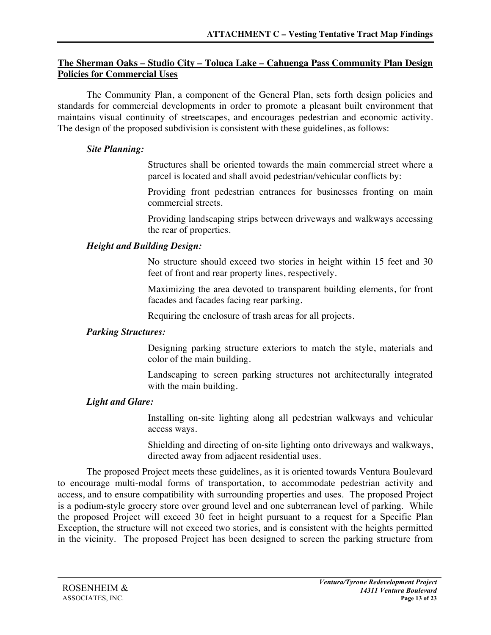## **The Sherman Oaks – Studio City – Toluca Lake – Cahuenga Pass Community Plan Design Policies for Commercial Uses**

The Community Plan, a component of the General Plan, sets forth design policies and standards for commercial developments in order to promote a pleasant built environment that maintains visual continuity of streetscapes, and encourages pedestrian and economic activity. The design of the proposed subdivision is consistent with these guidelines, as follows:

#### *Site Planning:*

Structures shall be oriented towards the main commercial street where a parcel is located and shall avoid pedestrian/vehicular conflicts by:

Providing front pedestrian entrances for businesses fronting on main commercial streets.

Providing landscaping strips between driveways and walkways accessing the rear of properties.

## *Height and Building Design:*

No structure should exceed two stories in height within 15 feet and 30 feet of front and rear property lines, respectively.

Maximizing the area devoted to transparent building elements, for front facades and facades facing rear parking.

Requiring the enclosure of trash areas for all projects.

## *Parking Structures:*

Designing parking structure exteriors to match the style, materials and color of the main building.

Landscaping to screen parking structures not architecturally integrated with the main building.

## *Light and Glare:*

Installing on-site lighting along all pedestrian walkways and vehicular access ways.

Shielding and directing of on-site lighting onto driveways and walkways, directed away from adjacent residential uses.

The proposed Project meets these guidelines, as it is oriented towards Ventura Boulevard to encourage multi-modal forms of transportation, to accommodate pedestrian activity and access, and to ensure compatibility with surrounding properties and uses. The proposed Project is a podium-style grocery store over ground level and one subterranean level of parking. While the proposed Project will exceed 30 feet in height pursuant to a request for a Specific Plan Exception, the structure will not exceed two stories, and is consistent with the heights permitted in the vicinity. The proposed Project has been designed to screen the parking structure from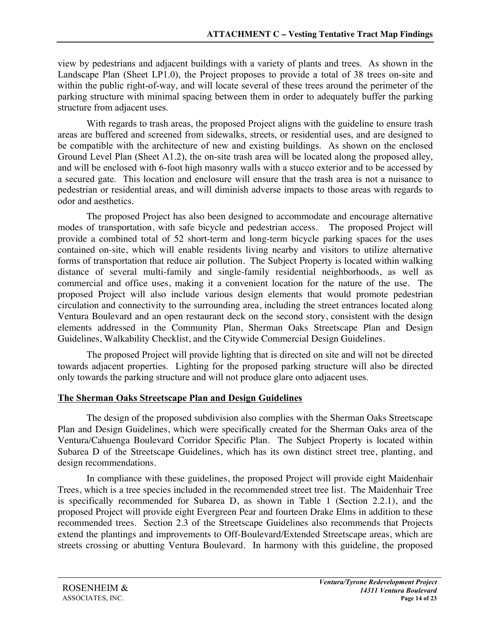view by pedestrians and adjacent buildings with a variety of plants and trees. As shown in the Landscape Plan (Sheet LP1.0), the Project proposes to provide a total of 38 trees on-site and within the public right-of-way, and will locate several of these trees around the perimeter of the parking structure with minimal spacing between them in order to adequately buffer the parking structure from adjacent uses.

With regards to trash areas, the proposed Project aligns with the guideline to ensure trash areas are buffered and screened from sidewalks, streets, or residential uses, and are designed to be compatible with the architecture of new and existing buildings. As shown on the enclosed Ground Level Plan (Sheet A1.2), the on-site trash area will be located along the proposed alley, and will be enclosed with 6-foot high masonry walls with a stucco exterior and to be accessed by a secured gate. This location and enclosure will ensure that the trash area is not a nuisance to pedestrian or residential areas, and will diminish adverse impacts to those areas with regards to odor and aesthetics.

The proposed Project has also been designed to accommodate and encourage alternative modes of transportation, with safe bicycle and pedestrian access. The proposed Project will provide a combined total of 52 short-term and long-term bicycle parking spaces for the uses contained on-site, which will enable residents living nearby and visitors to utilize alternative forms of transportation that reduce air pollution. The Subject Property is located within walking distance of several multi-family and single-family residential neighborhoods, as well as commercial and office uses, making it a convenient location for the nature of the use. The proposed Project will also include various design elements that would promote pedestrian circulation and connectivity to the surrounding area, including the street entrances located along Ventura Boulevard and an open restaurant deck on the second story, consistent with the design elements addressed in the Community Plan, Sherman Oaks Streetscape Plan and Design Guidelines, Walkability Checklist, and the Citywide Commercial Design Guidelines.

The proposed Project will provide lighting that is directed on site and will not be directed towards adjacent properties. Lighting for the proposed parking structure will also be directed only towards the parking structure and will not produce glare onto adjacent uses.

## **The Sherman Oaks Streetscape Plan and Design Guidelines**

The design of the proposed subdivision also complies with the Sherman Oaks Streetscape Plan and Design Guidelines, which were specifically created for the Sherman Oaks area of the Ventura/Cahuenga Boulevard Corridor Specific Plan. The Subject Property is located within Subarea D of the Streetscape Guidelines, which has its own distinct street tree, planting, and design recommendations.

In compliance with these guidelines, the proposed Project will provide eight Maidenhair Trees, which is a tree species included in the recommended street tree list. The Maidenhair Tree is specifically recommended for Subarea D, as shown in Table 1 (Section 2.2.1), and the proposed Project will provide eight Evergreen Pear and fourteen Drake Elms in addition to these recommended trees. Section 2.3 of the Streetscape Guidelines also recommends that Projects extend the plantings and improvements to Off-Boulevard/Extended Streetscape areas, which are streets crossing or abutting Ventura Boulevard. In harmony with this guideline, the proposed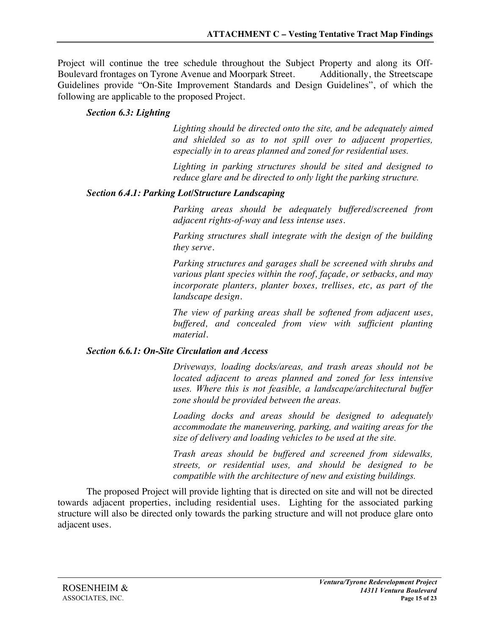Project will continue the tree schedule throughout the Subject Property and along its Off-Boulevard frontages on Tyrone Avenue and Moorpark Street. Additionally, the Streetscape Guidelines provide "On-Site Improvement Standards and Design Guidelines", of which the following are applicable to the proposed Project.

## *Section 6.3: Lighting*

*Lighting should be directed onto the site, and be adequately aimed and shielded so as to not spill over to adjacent properties, especially in to areas planned and zoned for residential uses.* 

*Lighting in parking structures should be sited and designed to reduce glare and be directed to only light the parking structure.*

## *Section 6.4.1: Parking Lot/Structure Landscaping*

*Parking areas should be adequately buffered/screened from adjacent rights-of-way and less intense uses.*

*Parking structures shall integrate with the design of the building they serve.*

*Parking structures and garages shall be screened with shrubs and various plant species within the roof, façade, or setbacks, and may incorporate planters, planter boxes, trellises, etc, as part of the landscape design.*

*The view of parking areas shall be softened from adjacent uses, buffered, and concealed from view with sufficient planting material.*

## *Section 6.6.1: On-Site Circulation and Access*

*Driveways, loading docks/areas, and trash areas should not be located adjacent to areas planned and zoned for less intensive uses. Where this is not feasible, a landscape/architectural buffer zone should be provided between the areas.*

*Loading docks and areas should be designed to adequately accommodate the maneuvering, parking, and waiting areas for the size of delivery and loading vehicles to be used at the site.*

*Trash areas should be buffered and screened from sidewalks, streets, or residential uses, and should be designed to be compatible with the architecture of new and existing buildings.*

The proposed Project will provide lighting that is directed on site and will not be directed towards adjacent properties, including residential uses. Lighting for the associated parking structure will also be directed only towards the parking structure and will not produce glare onto adjacent uses.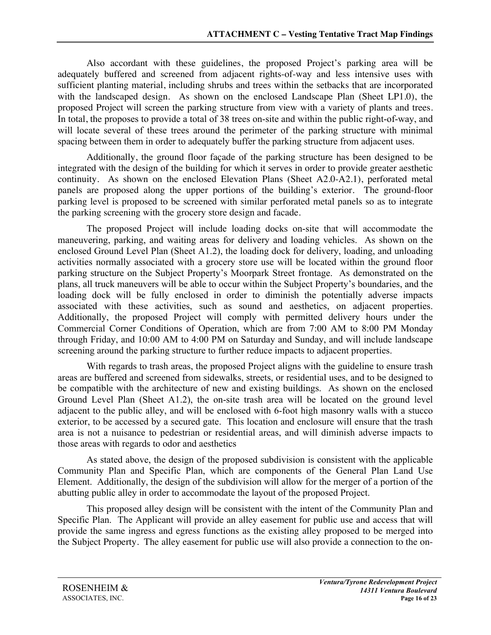Also accordant with these guidelines, the proposed Project's parking area will be adequately buffered and screened from adjacent rights-of-way and less intensive uses with sufficient planting material, including shrubs and trees within the setbacks that are incorporated with the landscaped design. As shown on the enclosed Landscape Plan (Sheet LP1.0), the proposed Project will screen the parking structure from view with a variety of plants and trees. In total, the proposes to provide a total of 38 trees on-site and within the public right-of-way, and will locate several of these trees around the perimeter of the parking structure with minimal spacing between them in order to adequately buffer the parking structure from adjacent uses.

Additionally, the ground floor façade of the parking structure has been designed to be integrated with the design of the building for which it serves in order to provide greater aesthetic continuity. As shown on the enclosed Elevation Plans (Sheet A2.0-A2.1), perforated metal panels are proposed along the upper portions of the building's exterior. The ground-floor parking level is proposed to be screened with similar perforated metal panels so as to integrate the parking screening with the grocery store design and facade.

The proposed Project will include loading docks on-site that will accommodate the maneuvering, parking, and waiting areas for delivery and loading vehicles. As shown on the enclosed Ground Level Plan (Sheet A1.2), the loading dock for delivery, loading, and unloading activities normally associated with a grocery store use will be located within the ground floor parking structure on the Subject Property's Moorpark Street frontage. As demonstrated on the plans, all truck maneuvers will be able to occur within the Subject Property's boundaries, and the loading dock will be fully enclosed in order to diminish the potentially adverse impacts associated with these activities, such as sound and aesthetics, on adjacent properties. Additionally, the proposed Project will comply with permitted delivery hours under the Commercial Corner Conditions of Operation, which are from 7:00 AM to 8:00 PM Monday through Friday, and 10:00 AM to 4:00 PM on Saturday and Sunday, and will include landscape screening around the parking structure to further reduce impacts to adjacent properties.

With regards to trash areas, the proposed Project aligns with the guideline to ensure trash areas are buffered and screened from sidewalks, streets, or residential uses, and to be designed to be compatible with the architecture of new and existing buildings. As shown on the enclosed Ground Level Plan (Sheet A1.2), the on-site trash area will be located on the ground level adjacent to the public alley, and will be enclosed with 6-foot high masonry walls with a stucco exterior, to be accessed by a secured gate. This location and enclosure will ensure that the trash area is not a nuisance to pedestrian or residential areas, and will diminish adverse impacts to those areas with regards to odor and aesthetics

As stated above, the design of the proposed subdivision is consistent with the applicable Community Plan and Specific Plan, which are components of the General Plan Land Use Element. Additionally, the design of the subdivision will allow for the merger of a portion of the abutting public alley in order to accommodate the layout of the proposed Project.

This proposed alley design will be consistent with the intent of the Community Plan and Specific Plan. The Applicant will provide an alley easement for public use and access that will provide the same ingress and egress functions as the existing alley proposed to be merged into the Subject Property. The alley easement for public use will also provide a connection to the on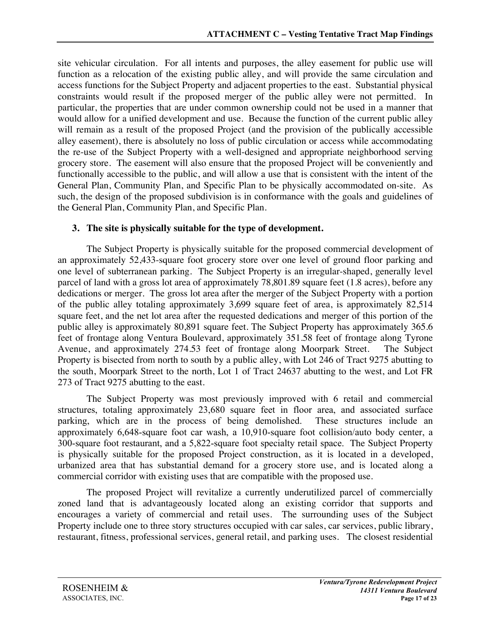site vehicular circulation. For all intents and purposes, the alley easement for public use will function as a relocation of the existing public alley, and will provide the same circulation and access functions for the Subject Property and adjacent properties to the east. Substantial physical constraints would result if the proposed merger of the public alley were not permitted. In particular, the properties that are under common ownership could not be used in a manner that would allow for a unified development and use. Because the function of the current public alley will remain as a result of the proposed Project (and the provision of the publically accessible alley easement), there is absolutely no loss of public circulation or access while accommodating the re-use of the Subject Property with a well-designed and appropriate neighborhood serving grocery store. The easement will also ensure that the proposed Project will be conveniently and functionally accessible to the public, and will allow a use that is consistent with the intent of the General Plan, Community Plan, and Specific Plan to be physically accommodated on-site. As such, the design of the proposed subdivision is in conformance with the goals and guidelines of the General Plan, Community Plan, and Specific Plan.

## **3. The site is physically suitable for the type of development.**

The Subject Property is physically suitable for the proposed commercial development of an approximately 52,433-square foot grocery store over one level of ground floor parking and one level of subterranean parking. The Subject Property is an irregular-shaped, generally level parcel of land with a gross lot area of approximately 78,801.89 square feet (1.8 acres), before any dedications or merger. The gross lot area after the merger of the Subject Property with a portion of the public alley totaling approximately 3,699 square feet of area, is approximately 82,514 square feet, and the net lot area after the requested dedications and merger of this portion of the public alley is approximately 80,891 square feet. The Subject Property has approximately 365.6 feet of frontage along Ventura Boulevard, approximately 351.58 feet of frontage along Tyrone Avenue, and approximately 274.53 feet of frontage along Moorpark Street. The Subject Property is bisected from north to south by a public alley, with Lot 246 of Tract 9275 abutting to the south, Moorpark Street to the north, Lot 1 of Tract 24637 abutting to the west, and Lot FR 273 of Tract 9275 abutting to the east.

The Subject Property was most previously improved with 6 retail and commercial structures, totaling approximately 23,680 square feet in floor area, and associated surface parking, which are in the process of being demolished. These structures include an approximately 6,648-square foot car wash, a 10,910-square foot collision/auto body center, a 300-square foot restaurant, and a 5,822-square foot specialty retail space. The Subject Property is physically suitable for the proposed Project construction, as it is located in a developed, urbanized area that has substantial demand for a grocery store use, and is located along a commercial corridor with existing uses that are compatible with the proposed use.

The proposed Project will revitalize a currently underutilized parcel of commercially zoned land that is advantageously located along an existing corridor that supports and encourages a variety of commercial and retail uses. The surrounding uses of the Subject Property include one to three story structures occupied with car sales, car services, public library, restaurant, fitness, professional services, general retail, and parking uses. The closest residential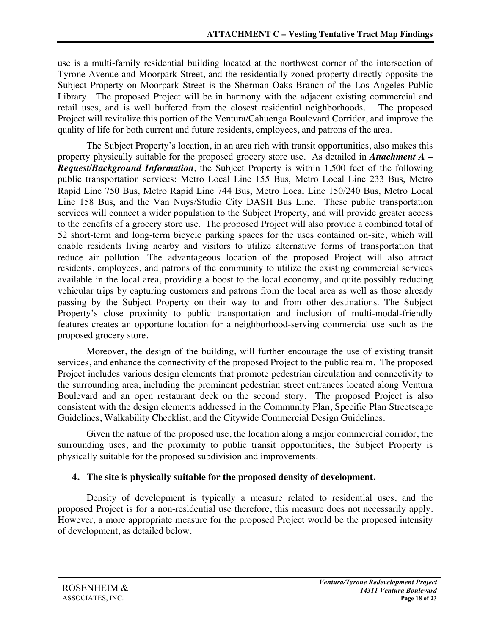use is a multi-family residential building located at the northwest corner of the intersection of Tyrone Avenue and Moorpark Street, and the residentially zoned property directly opposite the Subject Property on Moorpark Street is the Sherman Oaks Branch of the Los Angeles Public Library. The proposed Project will be in harmony with the adjacent existing commercial and retail uses, and is well buffered from the closest residential neighborhoods. The proposed Project will revitalize this portion of the Ventura/Cahuenga Boulevard Corridor, and improve the quality of life for both current and future residents, employees, and patrons of the area.

The Subject Property's location, in an area rich with transit opportunities, also makes this property physically suitable for the proposed grocery store use. As detailed in *Attachment A – Request/Background Information*, the Subject Property is within 1,500 feet of the following public transportation services: Metro Local Line 155 Bus, Metro Local Line 233 Bus, Metro Rapid Line 750 Bus, Metro Rapid Line 744 Bus, Metro Local Line 150/240 Bus, Metro Local Line 158 Bus, and the Van Nuys/Studio City DASH Bus Line. These public transportation services will connect a wider population to the Subject Property, and will provide greater access to the benefits of a grocery store use. The proposed Project will also provide a combined total of 52 short-term and long-term bicycle parking spaces for the uses contained on-site, which will enable residents living nearby and visitors to utilize alternative forms of transportation that reduce air pollution. The advantageous location of the proposed Project will also attract residents, employees, and patrons of the community to utilize the existing commercial services available in the local area, providing a boost to the local economy, and quite possibly reducing vehicular trips by capturing customers and patrons from the local area as well as those already passing by the Subject Property on their way to and from other destinations. The Subject Property's close proximity to public transportation and inclusion of multi-modal-friendly features creates an opportune location for a neighborhood-serving commercial use such as the proposed grocery store.

Moreover, the design of the building, will further encourage the use of existing transit services, and enhance the connectivity of the proposed Project to the public realm. The proposed Project includes various design elements that promote pedestrian circulation and connectivity to the surrounding area, including the prominent pedestrian street entrances located along Ventura Boulevard and an open restaurant deck on the second story. The proposed Project is also consistent with the design elements addressed in the Community Plan, Specific Plan Streetscape Guidelines, Walkability Checklist, and the Citywide Commercial Design Guidelines.

Given the nature of the proposed use, the location along a major commercial corridor, the surrounding uses, and the proximity to public transit opportunities, the Subject Property is physically suitable for the proposed subdivision and improvements.

## **4. The site is physically suitable for the proposed density of development.**

Density of development is typically a measure related to residential uses, and the proposed Project is for a non-residential use therefore, this measure does not necessarily apply. However, a more appropriate measure for the proposed Project would be the proposed intensity of development, as detailed below.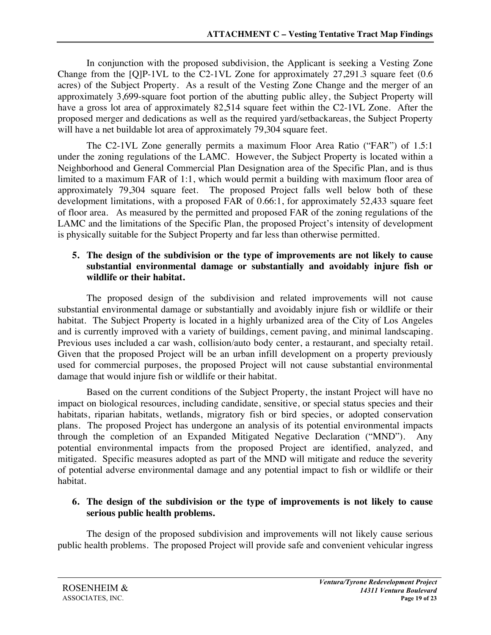In conjunction with the proposed subdivision, the Applicant is seeking a Vesting Zone Change from the  $[Q]P-1VL$  to the C2-1VL Zone for approximately 27,291.3 square feet  $(0.6)$ acres) of the Subject Property. As a result of the Vesting Zone Change and the merger of an approximately 3,699-square foot portion of the abutting public alley, the Subject Property will have a gross lot area of approximately 82,514 square feet within the C2-1VL Zone. After the proposed merger and dedications as well as the required yard/setbackareas, the Subject Property will have a net buildable lot area of approximately 79,304 square feet.

The C2-1VL Zone generally permits a maximum Floor Area Ratio ("FAR") of 1.5:1 under the zoning regulations of the LAMC. However, the Subject Property is located within a Neighborhood and General Commercial Plan Designation area of the Specific Plan, and is thus limited to a maximum FAR of 1:1, which would permit a building with maximum floor area of approximately 79,304 square feet. The proposed Project falls well below both of these development limitations, with a proposed FAR of 0.66:1, for approximately 52,433 square feet of floor area. As measured by the permitted and proposed FAR of the zoning regulations of the LAMC and the limitations of the Specific Plan, the proposed Project's intensity of development is physically suitable for the Subject Property and far less than otherwise permitted.

## **5. The design of the subdivision or the type of improvements are not likely to cause substantial environmental damage or substantially and avoidably injure fish or wildlife or their habitat.**

The proposed design of the subdivision and related improvements will not cause substantial environmental damage or substantially and avoidably injure fish or wildlife or their habitat. The Subject Property is located in a highly urbanized area of the City of Los Angeles and is currently improved with a variety of buildings, cement paving, and minimal landscaping. Previous uses included a car wash, collision/auto body center, a restaurant, and specialty retail. Given that the proposed Project will be an urban infill development on a property previously used for commercial purposes, the proposed Project will not cause substantial environmental damage that would injure fish or wildlife or their habitat.

Based on the current conditions of the Subject Property, the instant Project will have no impact on biological resources, including candidate, sensitive, or special status species and their habitats, riparian habitats, wetlands, migratory fish or bird species, or adopted conservation plans. The proposed Project has undergone an analysis of its potential environmental impacts through the completion of an Expanded Mitigated Negative Declaration ("MND"). Any potential environmental impacts from the proposed Project are identified, analyzed, and mitigated. Specific measures adopted as part of the MND will mitigate and reduce the severity of potential adverse environmental damage and any potential impact to fish or wildlife or their habitat.

#### **6. The design of the subdivision or the type of improvements is not likely to cause serious public health problems.**

The design of the proposed subdivision and improvements will not likely cause serious public health problems. The proposed Project will provide safe and convenient vehicular ingress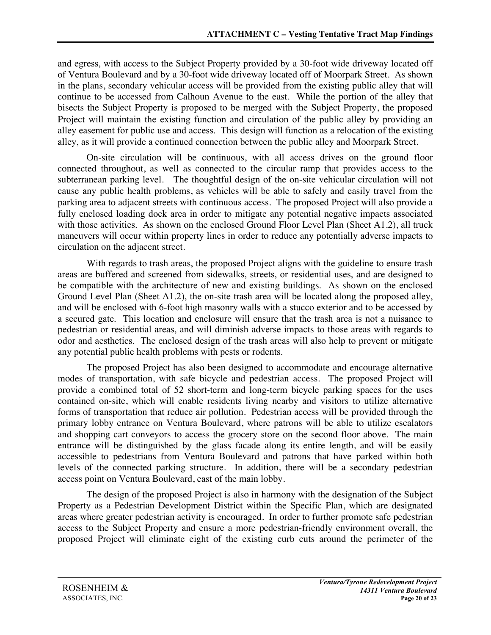and egress, with access to the Subject Property provided by a 30-foot wide driveway located off of Ventura Boulevard and by a 30-foot wide driveway located off of Moorpark Street. As shown in the plans, secondary vehicular access will be provided from the existing public alley that will continue to be accessed from Calhoun Avenue to the east. While the portion of the alley that bisects the Subject Property is proposed to be merged with the Subject Property, the proposed Project will maintain the existing function and circulation of the public alley by providing an alley easement for public use and access. This design will function as a relocation of the existing alley, as it will provide a continued connection between the public alley and Moorpark Street.

On-site circulation will be continuous, with all access drives on the ground floor connected throughout, as well as connected to the circular ramp that provides access to the subterranean parking level. The thoughtful design of the on-site vehicular circulation will not cause any public health problems, as vehicles will be able to safely and easily travel from the parking area to adjacent streets with continuous access. The proposed Project will also provide a fully enclosed loading dock area in order to mitigate any potential negative impacts associated with those activities. As shown on the enclosed Ground Floor Level Plan (Sheet A1.2), all truck maneuvers will occur within property lines in order to reduce any potentially adverse impacts to circulation on the adjacent street.

With regards to trash areas, the proposed Project aligns with the guideline to ensure trash areas are buffered and screened from sidewalks, streets, or residential uses, and are designed to be compatible with the architecture of new and existing buildings. As shown on the enclosed Ground Level Plan (Sheet A1.2), the on-site trash area will be located along the proposed alley, and will be enclosed with 6-foot high masonry walls with a stucco exterior and to be accessed by a secured gate. This location and enclosure will ensure that the trash area is not a nuisance to pedestrian or residential areas, and will diminish adverse impacts to those areas with regards to odor and aesthetics. The enclosed design of the trash areas will also help to prevent or mitigate any potential public health problems with pests or rodents.

The proposed Project has also been designed to accommodate and encourage alternative modes of transportation, with safe bicycle and pedestrian access. The proposed Project will provide a combined total of 52 short-term and long-term bicycle parking spaces for the uses contained on-site, which will enable residents living nearby and visitors to utilize alternative forms of transportation that reduce air pollution. Pedestrian access will be provided through the primary lobby entrance on Ventura Boulevard, where patrons will be able to utilize escalators and shopping cart conveyors to access the grocery store on the second floor above. The main entrance will be distinguished by the glass facade along its entire length, and will be easily accessible to pedestrians from Ventura Boulevard and patrons that have parked within both levels of the connected parking structure. In addition, there will be a secondary pedestrian access point on Ventura Boulevard, east of the main lobby.

The design of the proposed Project is also in harmony with the designation of the Subject Property as a Pedestrian Development District within the Specific Plan, which are designated areas where greater pedestrian activity is encouraged. In order to further promote safe pedestrian access to the Subject Property and ensure a more pedestrian-friendly environment overall, the proposed Project will eliminate eight of the existing curb cuts around the perimeter of the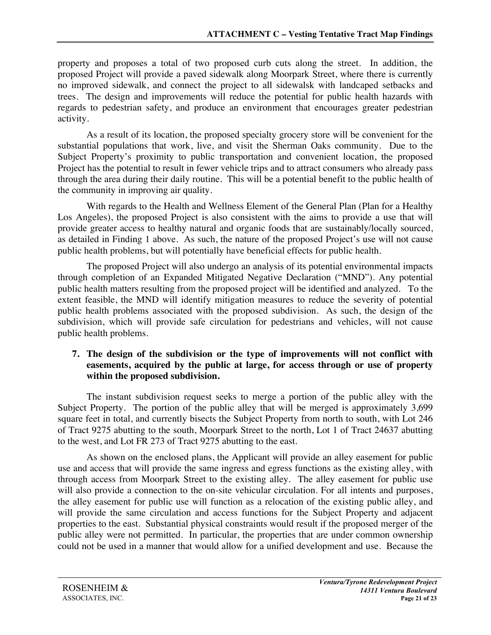property and proposes a total of two proposed curb cuts along the street. In addition, the proposed Project will provide a paved sidewalk along Moorpark Street, where there is currently no improved sidewalk, and connect the project to all sidewalsk with landcaped setbacks and trees. The design and improvements will reduce the potential for public health hazards with regards to pedestrian safety, and produce an environment that encourages greater pedestrian activity.

As a result of its location, the proposed specialty grocery store will be convenient for the substantial populations that work, live, and visit the Sherman Oaks community. Due to the Subject Property's proximity to public transportation and convenient location, the proposed Project has the potential to result in fewer vehicle trips and to attract consumers who already pass through the area during their daily routine. This will be a potential benefit to the public health of the community in improving air quality.

With regards to the Health and Wellness Element of the General Plan (Plan for a Healthy Los Angeles), the proposed Project is also consistent with the aims to provide a use that will provide greater access to healthy natural and organic foods that are sustainably/locally sourced, as detailed in Finding 1 above. As such, the nature of the proposed Project's use will not cause public health problems, but will potentially have beneficial effects for public health.

The proposed Project will also undergo an analysis of its potential environmental impacts through completion of an Expanded Mitigated Negative Declaration ("MND"). Any potential public health matters resulting from the proposed project will be identified and analyzed. To the extent feasible, the MND will identify mitigation measures to reduce the severity of potential public health problems associated with the proposed subdivision. As such, the design of the subdivision, which will provide safe circulation for pedestrians and vehicles, will not cause public health problems.

#### **7. The design of the subdivision or the type of improvements will not conflict with easements, acquired by the public at large, for access through or use of property within the proposed subdivision.**

The instant subdivision request seeks to merge a portion of the public alley with the Subject Property. The portion of the public alley that will be merged is approximately 3,699 square feet in total, and currently bisects the Subject Property from north to south, with Lot 246 of Tract 9275 abutting to the south, Moorpark Street to the north, Lot 1 of Tract 24637 abutting to the west, and Lot FR 273 of Tract 9275 abutting to the east.

As shown on the enclosed plans, the Applicant will provide an alley easement for public use and access that will provide the same ingress and egress functions as the existing alley, with through access from Moorpark Street to the existing alley. The alley easement for public use will also provide a connection to the on-site vehicular circulation. For all intents and purposes, the alley easement for public use will function as a relocation of the existing public alley, and will provide the same circulation and access functions for the Subject Property and adjacent properties to the east. Substantial physical constraints would result if the proposed merger of the public alley were not permitted. In particular, the properties that are under common ownership could not be used in a manner that would allow for a unified development and use. Because the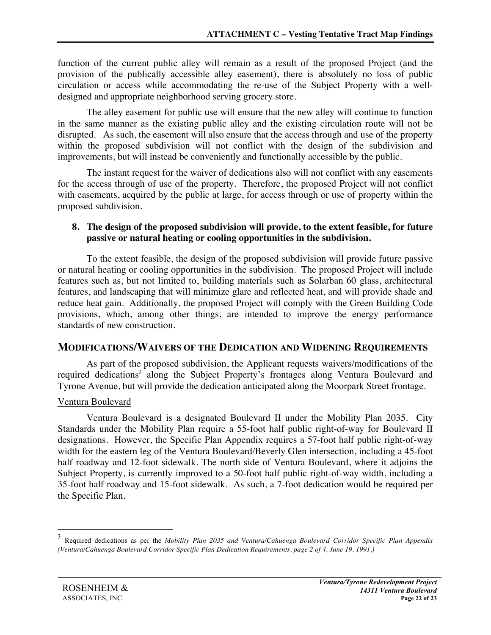function of the current public alley will remain as a result of the proposed Project (and the provision of the publically accessible alley easement), there is absolutely no loss of public circulation or access while accommodating the re-use of the Subject Property with a welldesigned and appropriate neighborhood serving grocery store.

The alley easement for public use will ensure that the new alley will continue to function in the same manner as the existing public alley and the existing circulation route will not be disrupted. As such, the easement will also ensure that the access through and use of the property within the proposed subdivision will not conflict with the design of the subdivision and improvements, but will instead be conveniently and functionally accessible by the public.

The instant request for the waiver of dedications also will not conflict with any easements for the access through of use of the property. Therefore, the proposed Project will not conflict with easements, acquired by the public at large, for access through or use of property within the proposed subdivision.

#### **8. The design of the proposed subdivision will provide, to the extent feasible, for future passive or natural heating or cooling opportunities in the subdivision.**

To the extent feasible, the design of the proposed subdivision will provide future passive or natural heating or cooling opportunities in the subdivision. The proposed Project will include features such as, but not limited to, building materials such as Solarban 60 glass, architectural features, and landscaping that will minimize glare and reflected heat, and will provide shade and reduce heat gain. Additionally, the proposed Project will comply with the Green Building Code provisions, which, among other things, are intended to improve the energy performance standards of new construction.

## **MODIFICATIONS/WAIVERS OF THE DEDICATION AND WIDENING REQUIREMENTS**

As part of the proposed subdivision, the Applicant requests waivers/modifications of the required dedications<sup>3</sup> along the Subject Property's frontages along Ventura Boulevard and Tyrone Avenue, but will provide the dedication anticipated along the Moorpark Street frontage.

#### Ventura Boulevard

Ventura Boulevard is a designated Boulevard II under the Mobility Plan 2035. City Standards under the Mobility Plan require a 55-foot half public right-of-way for Boulevard II designations. However, the Specific Plan Appendix requires a 57-foot half public right-of-way width for the eastern leg of the Ventura Boulevard/Beverly Glen intersection, including a 45-foot half roadway and 12-foot sidewalk. The north side of Ventura Boulevard, where it adjoins the Subject Property, is currently improved to a 50-foot half public right-of-way width, including a 35-foot half roadway and 15-foot sidewalk. As such, a 7-foot dedication would be required per the Specific Plan.

 <sup>3</sup> Required dedications as per the *Mobility Plan 2035 and Ventura/Cahuenga Boulevard Corridor Specific Plan Appendix (Ventura/Cahuenga Boulevard Corridor Specific Plan Dedication Requirements, page 2 of 4, June 19, 1991.)*